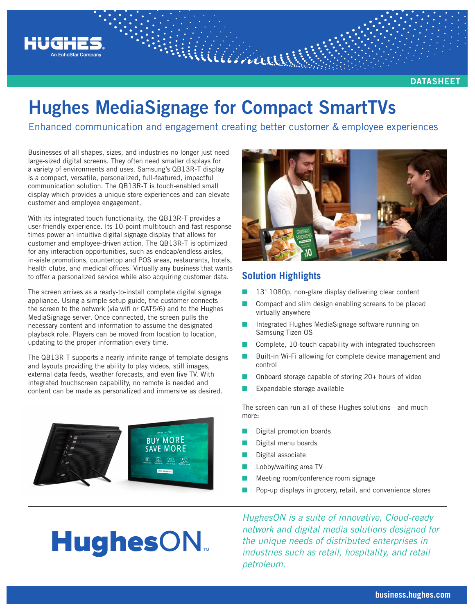

**DATASHEET**

# **Hughes MediaSignage for Compact SmartTVs**

Enhanced communication and engagement creating better customer & employee experiences

Williaman

Businesses of all shapes, sizes, and industries no longer just need large-sized digital screens. They often need smaller displays for a variety of environments and uses. Samsung's QB13R-T display is a compact, versatile, personalized, full-featured, impactful communication solution. The QB13R-T is touch-enabled small display which provides a unique store experiences and can elevate customer and employee engagement.

With its integrated touch functionality, the QB13R-T provides a user-friendly experience. Its 10-point multitouch and fast response times power an intuitive digital signage display that allows for customer and employee-driven action. The QB13R-T is optimized for any interaction opportunities, such as endcap/endless aisles, in-aisle promotions, countertop and POS areas, restaurants, hotels, health clubs, and medical offices. Virtually any business that wants to offer a personalized service while also acquiring customer data.

The screen arrives as a ready-to-install complete digital signage appliance. Using a simple setup guide, the customer connects the screen to the network (via wifi or CAT5/6) and to the Hughes MediaSignage server. Once connected, the screen pulls the necessary content and information to assume the designated playback role. Players can be moved from location to location, updating to the proper information every time.

The QB13R-T supports a nearly infinite range of template designs and layouts providing the ability to play videos, still images, external data feeds, weather forecasts, and even live TV. With integrated touchscreen capability, no remote is needed and content can be made as personalized and immersive as desired.



**HughesON** 



### **Solution Highlights**

- 13" 1080p, non-glare display delivering clear content
- Compact and slim design enabling screens to be placed virtually anywhere
- Integrated Hughes MediaSignage software running on Samsung Tizen OS
- Complete, 10-touch capability with integrated touchscreen
- Built-in Wi-Fi allowing for complete device management and control
- Onboard storage capable of storing 20+ hours of video
- Expandable storage available

The screen can run all of these Hughes solutions—and much more:

- Digital promotion boards
- Digital menu boards
- Digital associate
- Lobby/waiting area TV
- Meeting room/conference room signage
- Pop-up displays in grocery, retail, and convenience stores

*HughesON is a suite of innovative, Cloud-ready network and digital media solutions designed for the unique needs of distributed enterprises in industries such as retail, hospitality, and retail petroleum.*